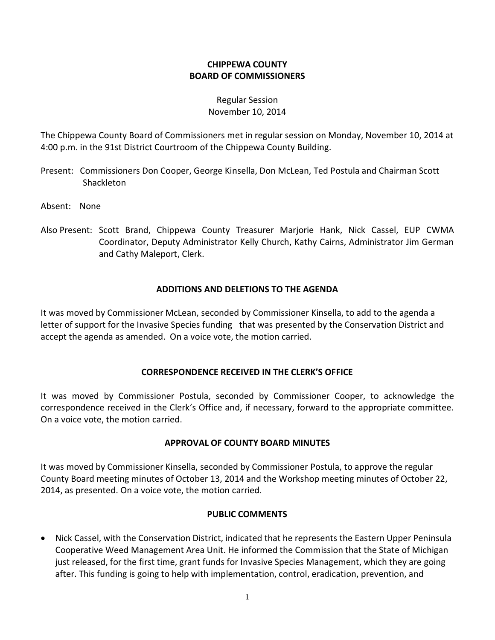# **CHIPPEWA COUNTY BOARD OF COMMISSIONERS**

#### Regular Session November 10, 2014

The Chippewa County Board of Commissioners met in regular session on Monday, November 10, 2014 at 4:00 p.m. in the 91st District Courtroom of the Chippewa County Building.

- Present: Commissioners Don Cooper, George Kinsella, Don McLean, Ted Postula and Chairman Scott Shackleton
- Absent: None
- Also Present: Scott Brand, Chippewa County Treasurer Marjorie Hank, Nick Cassel, EUP CWMA Coordinator, Deputy Administrator Kelly Church, Kathy Cairns, Administrator Jim German and Cathy Maleport, Clerk.

# **ADDITIONS AND DELETIONS TO THE AGENDA**

It was moved by Commissioner McLean, seconded by Commissioner Kinsella, to add to the agenda a letter of support for the Invasive Species funding that was presented by the Conservation District and accept the agenda as amended. On a voice vote, the motion carried.

#### **CORRESPONDENCE RECEIVED IN THE CLERK'S OFFICE**

It was moved by Commissioner Postula, seconded by Commissioner Cooper, to acknowledge the correspondence received in the Clerk's Office and, if necessary, forward to the appropriate committee. On a voice vote, the motion carried.

#### **APPROVAL OF COUNTY BOARD MINUTES**

It was moved by Commissioner Kinsella, seconded by Commissioner Postula, to approve the regular County Board meeting minutes of October 13, 2014 and the Workshop meeting minutes of October 22, 2014, as presented. On a voice vote, the motion carried.

# **PUBLIC COMMENTS**

· Nick Cassel, with the Conservation District, indicated that he represents the Eastern Upper Peninsula Cooperative Weed Management Area Unit. He informed the Commission that the State of Michigan just released, for the first time, grant funds for Invasive Species Management, which they are going after. This funding is going to help with implementation, control, eradication, prevention, and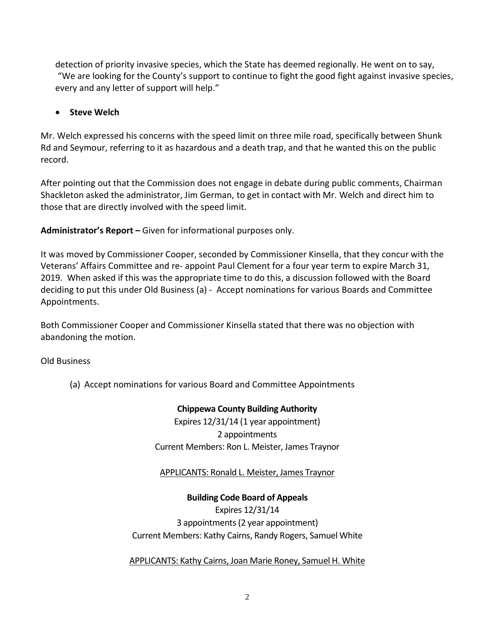detection of priority invasive species, which the State has deemed regionally. He went on to say, "We are looking for the County's support to continue to fight the good fight against invasive species, every and any letter of support will help."

# · **Steve Welch**

Mr. Welch expressed his concerns with the speed limit on three mile road, specifically between Shunk Rd and Seymour, referring to it as hazardous and a death trap, and that he wanted this on the public record.

After pointing out that the Commission does not engage in debate during public comments, Chairman Shackleton asked the administrator, Jim German, to get in contact with Mr. Welch and direct him to those that are directly involved with the speed limit.

**Administrator's Report –** Given for informational purposes only.

It was moved by Commissioner Cooper, seconded by Commissioner Kinsella, that they concur with the Veterans' Affairs Committee and re- appoint Paul Clement for a four year term to expire March 31, 2019. When asked if this was the appropriate time to do this, a discussion followed with the Board deciding to put this under Old Business (a) - Accept nominations for various Boards and Committee Appointments.

Both Commissioner Cooper and Commissioner Kinsella stated that there was no objection with abandoning the motion.

Old Business

(a) Accept nominations for various Board and Committee Appointments

# **Chippewa County Building Authority**

Expires 12/31/14 (1 year appointment) 2 appointments Current Members: Ron L. Meister, James Traynor

APPLICANTS: Ronald L. Meister, James Traynor

**Building Code Board of Appeals** Expires 12/31/14 3 appointments(2 year appointment) Current Members: Kathy Cairns, Randy Rogers, Samuel White

APPLICANTS: Kathy Cairns, Joan Marie Roney, Samuel H. White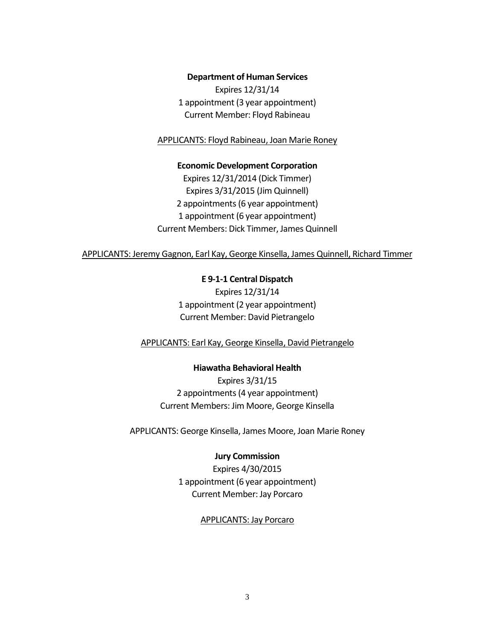#### **Department of Human Services**

Expires 12/31/14 1 appointment (3 year appointment) Current Member: Floyd Rabineau

APPLICANTS: Floyd Rabineau, Joan Marie Roney

**Economic Development Corporation** Expires 12/31/2014 (Dick Timmer) Expires 3/31/2015 (Jim Quinnell) 2 appointments (6 year appointment) 1 appointment (6 year appointment) Current Members: Dick Timmer, James Quinnell

APPLICANTS: Jeremy Gagnon, Earl Kay, George Kinsella, James Quinnell, Richard Timmer

**E 9-1-1 Central Dispatch** Expires 12/31/14 1 appointment (2 year appointment) Current Member: David Pietrangelo

APPLICANTS: Earl Kay, George Kinsella, David Pietrangelo

**Hiawatha Behavioral Health** Expires 3/31/15 2 appointments (4 year appointment) Current Members: Jim Moore, George Kinsella

APPLICANTS: George Kinsella, James Moore, Joan Marie Roney

#### **Jury Commission**

Expires 4/30/2015 1 appointment (6 year appointment) Current Member: Jay Porcaro

#### APPLICANTS: Jay Porcaro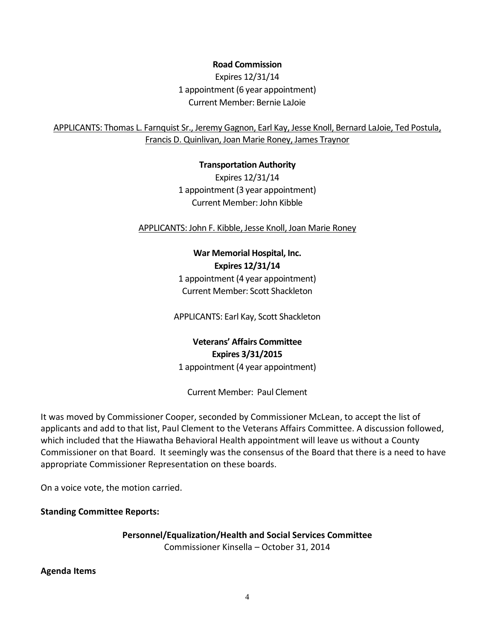**Road Commission**

Expires 12/31/14 1 appointment (6 year appointment) Current Member: Bernie LaJoie

APPLICANTS: Thomas L. Farnquist Sr., Jeremy Gagnon, Earl Kay, Jesse Knoll, Bernard LaJoie, Ted Postula, Francis D. Quinlivan, Joan Marie Roney, James Traynor

#### **Transportation Authority**

Expires 12/31/14 1 appointment (3 year appointment) Current Member: John Kibble

APPLICANTS: John F. Kibble, Jesse Knoll, Joan Marie Roney

# **War Memorial Hospital, Inc. Expires 12/31/14** 1 appointment (4 year appointment)

Current Member: Scott Shackleton

APPLICANTS: Earl Kay, Scott Shackleton

# **Veterans' Affairs Committee Expires 3/31/2015** 1 appointment (4 year appointment)

Current Member: Paul Clement

It was moved by Commissioner Cooper, seconded by Commissioner McLean, to accept the list of applicants and add to that list, Paul Clement to the Veterans Affairs Committee. A discussion followed, which included that the Hiawatha Behavioral Health appointment will leave us without a County Commissioner on that Board. It seemingly was the consensus of the Board that there is a need to have appropriate Commissioner Representation on these boards.

On a voice vote, the motion carried.

**Standing Committee Reports:**

**Personnel/Equalization/Health and Social Services Committee**

Commissioner Kinsella – October 31, 2014

#### **Agenda Items**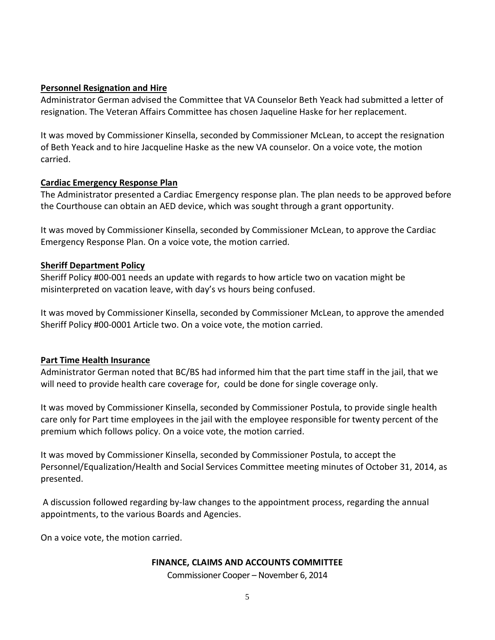#### **Personnel Resignation and Hire**

Administrator German advised the Committee that VA Counselor Beth Yeack had submitted a letter of resignation. The Veteran Affairs Committee has chosen Jaqueline Haske for her replacement.

It was moved by Commissioner Kinsella, seconded by Commissioner McLean, to accept the resignation of Beth Yeack and to hire Jacqueline Haske as the new VA counselor. On a voice vote, the motion carried.

# **Cardiac Emergency Response Plan**

The Administrator presented a Cardiac Emergency response plan. The plan needs to be approved before the Courthouse can obtain an AED device, which was sought through a grant opportunity.

It was moved by Commissioner Kinsella, seconded by Commissioner McLean, to approve the Cardiac Emergency Response Plan. On a voice vote, the motion carried.

# **Sheriff Department Policy**

Sheriff Policy #00-001 needs an update with regards to how article two on vacation might be misinterpreted on vacation leave, with day's vs hours being confused.

It was moved by Commissioner Kinsella, seconded by Commissioner McLean, to approve the amended Sheriff Policy #00-0001 Article two. On a voice vote, the motion carried.

#### **Part Time Health Insurance**

Administrator German noted that BC/BS had informed him that the part time staff in the jail, that we will need to provide health care coverage for, could be done for single coverage only.

It was moved by Commissioner Kinsella, seconded by Commissioner Postula, to provide single health care only for Part time employees in the jail with the employee responsible for twenty percent of the premium which follows policy. On a voice vote, the motion carried.

It was moved by Commissioner Kinsella, seconded by Commissioner Postula, to accept the Personnel/Equalization/Health and Social Services Committee meeting minutes of October 31, 2014, as presented.

A discussion followed regarding by-law changes to the appointment process, regarding the annual appointments, to the various Boards and Agencies.

On a voice vote, the motion carried.

#### **FINANCE, CLAIMS AND ACCOUNTS COMMITTEE**

Commissioner Cooper – November 6, 2014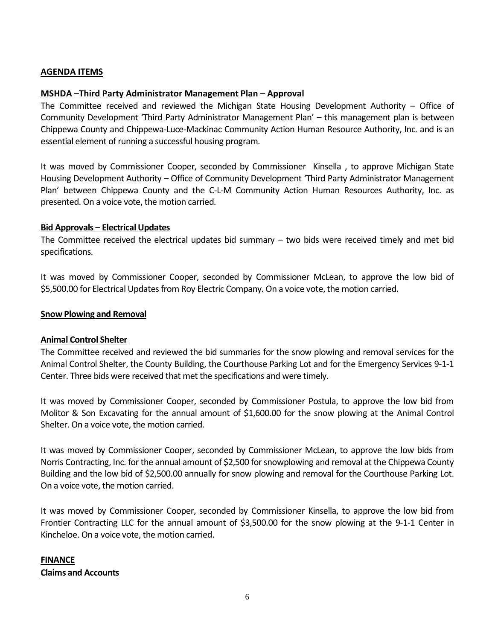#### **AGENDA ITEMS**

#### **MSHDA –Third Party Administrator Management Plan – Approval**

The Committee received and reviewed the Michigan State Housing Development Authority – Office of Community Development 'Third Party Administrator Management Plan' – this management plan is between Chippewa County and Chippewa-Luce-Mackinac Community Action Human Resource Authority, Inc. and is an essential element of running a successful housing program.

It was moved by Commissioner Cooper, seconded by Commissioner Kinsella , to approve Michigan State Housing Development Authority – Office of Community Development 'Third Party Administrator Management Plan' between Chippewa County and the C-L-M Community Action Human Resources Authority, Inc. as presented. On a voice vote, the motion carried.

#### **Bid Approvals – Electrical Updates**

The Committee received the electrical updates bid summary – two bids were received timely and met bid specifications.

It was moved by Commissioner Cooper, seconded by Commissioner McLean, to approve the low bid of \$5,500.00 for Electrical Updates from Roy Electric Company. On a voice vote, the motion carried.

#### **Snow Plowing and Removal**

#### **Animal Control Shelter**

The Committee received and reviewed the bid summaries for the snow plowing and removal services for the Animal Control Shelter, the County Building, the Courthouse Parking Lot and for the Emergency Services 9-1-1 Center. Three bids were received that met the specifications and were timely.

It was moved by Commissioner Cooper, seconded by Commissioner Postula, to approve the low bid from Molitor & Son Excavating for the annual amount of \$1,600.00 for the snow plowing at the Animal Control Shelter. On a voice vote, the motion carried.

It was moved by Commissioner Cooper, seconded by Commissioner McLean, to approve the low bids from Norris Contracting, Inc. for the annual amount of \$2,500 for snowplowing and removal at the Chippewa County Building and the low bid of \$2,500.00 annually for snow plowing and removal for the Courthouse Parking Lot. On a voice vote, the motion carried.

It was moved by Commissioner Cooper, seconded by Commissioner Kinsella, to approve the low bid from Frontier Contracting LLC for the annual amount of \$3,500.00 for the snow plowing at the 9-1-1 Center in Kincheloe. On a voice vote, the motion carried.

# **FINANCE Claims and Accounts**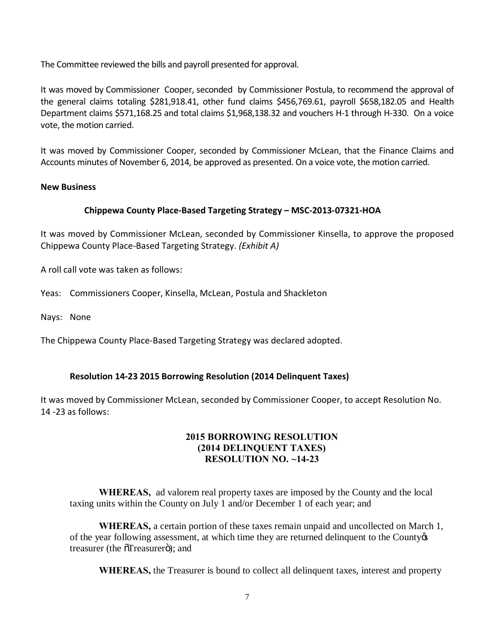The Committee reviewed the bills and payroll presented for approval.

It was moved by Commissioner Cooper, seconded by Commissioner Postula, to recommend the approval of the general claims totaling \$281,918.41, other fund claims \$456,769.61, payroll \$658,182.05 and Health Department claims \$571,168.25 and total claims \$1,968,138.32 and vouchers H-1 through H-330. On a voice vote, the motion carried.

It was moved by Commissioner Cooper, seconded by Commissioner McLean, that the Finance Claims and Accounts minutes of November 6, 2014, be approved as presented. On a voice vote, the motion carried.

# **New Business**

# **Chippewa County Place-Based Targeting Strategy – MSC-2013-07321-HOA**

It was moved by Commissioner McLean, seconded by Commissioner Kinsella, to approve the proposed Chippewa County Place-Based Targeting Strategy. *(Exhibit A)*

A roll call vote was taken as follows:

Yeas: Commissioners Cooper, Kinsella, McLean, Postula and Shackleton

Nays: None

The Chippewa County Place-Based Targeting Strategy was declared adopted.

#### **Resolution 14-23 2015 Borrowing Resolution (2014 Delinquent Taxes)**

It was moved by Commissioner McLean, seconded by Commissioner Cooper, to accept Resolution No. 14 -23 as follows:

#### **2015 BORROWING RESOLUTION (2014 DELINQUENT TAXES) RESOLUTION NO. ~14-23**

**WHEREAS,** ad valorem real property taxes are imposed by the County and the local taxing units within the County on July 1 and/or December 1 of each year; and

**WHEREAS,** a certain portion of these taxes remain unpaid and uncollected on March 1, of the year following assessment, at which time they are returned delinquent to the County  $\alpha$ treasurer (the  $\tilde{o}$ Treasurer $\ddot{o}$ ); and

**WHEREAS,** the Treasurer is bound to collect all delinquent taxes, interest and property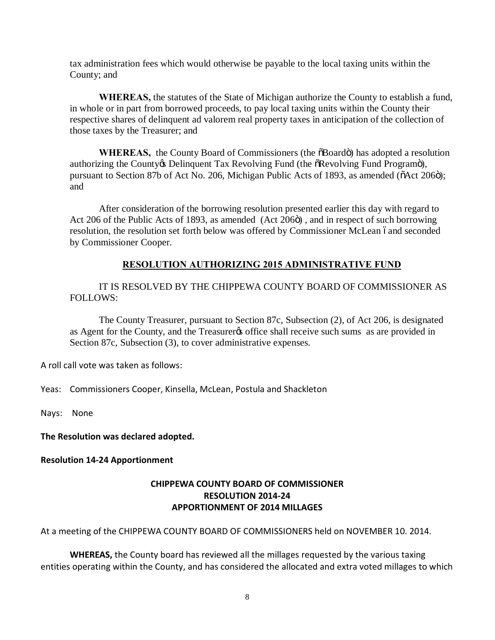tax administration fees which would otherwise be payable to the local taxing units within the County; and

**WHEREAS,** the statutes of the State of Michigan authorize the County to establish a fund, in whole or in part from borrowed proceeds, to pay local taxing units within the County their respective shares of delinquent ad valorem real property taxes in anticipation of the collection of those taxes by the Treasurer; and

**WHEREAS,** the County Board of Commissioners (the  $\delta$ Board $\ddot{\text{o}}$ ) has adopted a resolution authorizing the County & Delinquent Tax Revolving Fund (the  $\delta$ Revolving Fund Programo), pursuant to Section 87b of Act No. 206, Michigan Public Acts of 1893, as amended ( $\tilde{O}$ Act 206 $\tilde{O}$ ); and

After consideration of the borrowing resolution presented earlier this day with regard to Act 206 of the Public Acts of 1893, as amended (Act 206 $\ddot{o}$ ), and in respect of such borrowing resolution, the resolution set forth below was offered by Commissioner McLean óand seconded by Commissioner Cooper.

# **RESOLUTION AUTHORIZING 2015 ADMINISTRATIVE FUND**

IT IS RESOLVED BY THE CHIPPEWA COUNTY BOARD OF COMMISSIONER AS FOLLOWS:

The County Treasurer, pursuant to Section 87c, Subsection (2), of Act 206, is designated as Agent for the County, and the Treasurer to office shall receive such sums as are provided in Section 87c, Subsection (3), to cover administrative expenses.

A roll call vote was taken as follows:

Yeas: Commissioners Cooper, Kinsella, McLean, Postula and Shackleton

Nays: None

**The Resolution was declared adopted.**

**Resolution 14-24 Apportionment**

# **CHIPPEWA COUNTY BOARD OF COMMISSIONER RESOLUTION 2014-24 APPORTIONMENT OF 2014 MILLAGES**

At a meeting of the CHIPPEWA COUNTY BOARD OF COMMISSIONERS held on NOVEMBER 10. 2014.

**WHEREAS,** the County board has reviewed all the millages requested by the various taxing entities operating within the County, and has considered the allocated and extra voted millages to which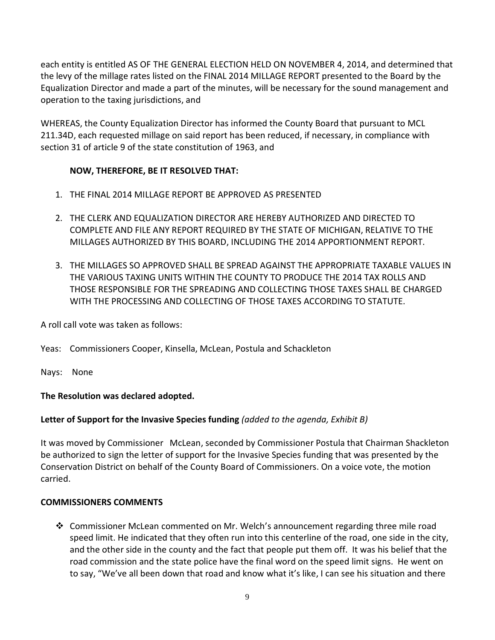each entity is entitled AS OF THE GENERAL ELECTION HELD ON NOVEMBER 4, 2014, and determined that the levy of the millage rates listed on the FINAL 2014 MILLAGE REPORT presented to the Board by the Equalization Director and made a part of the minutes, will be necessary for the sound management and operation to the taxing jurisdictions, and

WHEREAS, the County Equalization Director has informed the County Board that pursuant to MCL 211.34D, each requested millage on said report has been reduced, if necessary, in compliance with section 31 of article 9 of the state constitution of 1963, and

# **NOW, THEREFORE, BE IT RESOLVED THAT:**

- 1. THE FINAL 2014 MILLAGE REPORT BE APPROVED AS PRESENTED
- 2. THE CLERK AND EQUALIZATION DIRECTOR ARE HEREBY AUTHORIZED AND DIRECTED TO COMPLETE AND FILE ANY REPORT REQUIRED BY THE STATE OF MICHIGAN, RELATIVE TO THE MILLAGES AUTHORIZED BY THIS BOARD, INCLUDING THE 2014 APPORTIONMENT REPORT.
- 3. THE MILLAGES SO APPROVED SHALL BE SPREAD AGAINST THE APPROPRIATE TAXABLE VALUES IN THE VARIOUS TAXING UNITS WITHIN THE COUNTY TO PRODUCE THE 2014 TAX ROLLS AND THOSE RESPONSIBLE FOR THE SPREADING AND COLLECTING THOSE TAXES SHALL BE CHARGED WITH THE PROCESSING AND COLLECTING OF THOSE TAXES ACCORDING TO STATUTE.

A roll call vote was taken as follows:

Yeas: Commissioners Cooper, Kinsella, McLean, Postula and Schackleton

Nays: None

# **The Resolution was declared adopted.**

# **Letter of Support for the Invasive Species funding** *(added to the agenda, Exhibit B)*

It was moved by Commissioner McLean, seconded by Commissioner Postula that Chairman Shackleton be authorized to sign the letter of support for the Invasive Species funding that was presented by the Conservation District on behalf of the County Board of Commissioners. On a voice vote, the motion carried.

# **COMMISSIONERS COMMENTS**

v Commissioner McLean commented on Mr. Welch's announcement regarding three mile road speed limit. He indicated that they often run into this centerline of the road, one side in the city, and the other side in the county and the fact that people put them off. It was his belief that the road commission and the state police have the final word on the speed limit signs. He went on to say, "We've all been down that road and know what it's like, I can see his situation and there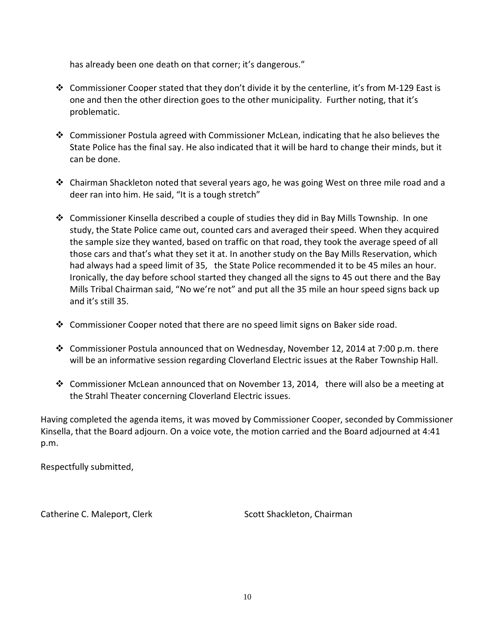has already been one death on that corner; it's dangerous."

- Commissioner Cooper stated that they don't divide it by the centerline, it's from M-129 East is one and then the other direction goes to the other municipality. Further noting, that it's problematic.
- $\div$  Commissioner Postula agreed with Commissioner McLean, indicating that he also believes the State Police has the final say. He also indicated that it will be hard to change their minds, but it can be done.
- $\div$  Chairman Shackleton noted that several years ago, he was going West on three mile road and a deer ran into him. He said, "It is a tough stretch"
- Commissioner Kinsella described a couple of studies they did in Bay Mills Township. In one study, the State Police came out, counted cars and averaged their speed. When they acquired the sample size they wanted, based on traffic on that road, they took the average speed of all those cars and that's what they set it at. In another study on the Bay Mills Reservation, which had always had a speed limit of 35, the State Police recommended it to be 45 miles an hour. Ironically, the day before school started they changed all the signs to 45 out there and the Bay Mills Tribal Chairman said, "No we're not" and put all the 35 mile an hour speed signs back up and it's still 35.
- Commissioner Cooper noted that there are no speed limit signs on Baker side road.
- v Commissioner Postula announced that on Wednesday, November 12, 2014 at 7:00 p.m. there will be an informative session regarding Cloverland Electric issues at the Raber Township Hall.
- $\clubsuit$  Commissioner McLean announced that on November 13, 2014, there will also be a meeting at the Strahl Theater concerning Cloverland Electric issues.

Having completed the agenda items, it was moved by Commissioner Cooper, seconded by Commissioner Kinsella, that the Board adjourn. On a voice vote, the motion carried and the Board adjourned at 4:41 p.m.

Respectfully submitted,

Catherine C. Maleport, Clerk Scott Shackleton, Chairman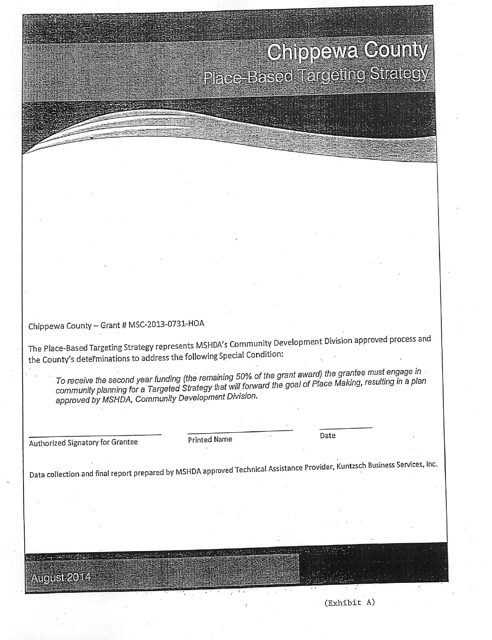# **Chiopawa County Place-Based Targeting Sticticgy**

Chippewa County -- Grant # MSC-2013-0731-HOA

The Place-Based Targeting Strategy represents MSHDA's Community Development Division approved process and the County's determinations to address the following Special Condition:

To receive the second year funding (the remaining 50% of the grant award) the grantee must engage in community planning for a Targeted Strategy that will forward the goal of Place Making, resulting in a plan approved by MSHDA, Community Development Division.

Authorized Signatory for Grantee

**Printed Name** 

Date

Data collection and final report prepared by MSHDA approved Technical Assistance Provider, Kuntzsch Business Services, Inc.

August 2014